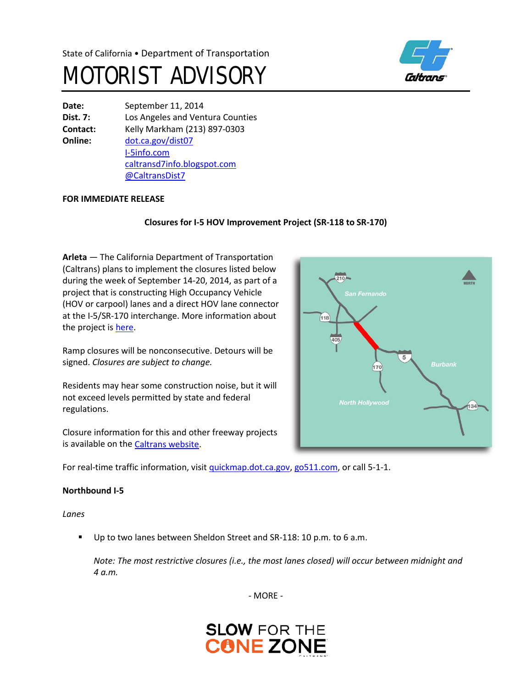# MOTORIST ADVISORY



**Date:** September 11, 2014 **Dist. 7:** Los Angeles and Ventura Counties **Contact:** Kelly Markham (213) 897-0303 **Online:** [dot.ca.gov/dist07](http://www.dot.ca.gov/dist07) [I-5info.com](http://www.i-5info.com/) [caltransd7info.blogspot.com](http://caltransd7info.blogspot.com/) @CaltransDist7

#### **FOR IMMEDIATE RELEASE**

## **Closures for I-5 HOV Improvement Project (SR-118 to SR-170)**

**Arleta** — The California Department of Transportation (Caltrans) plans to implement the closures listed below during the week of September 14-20, 2014, as part of a project that is constructing High Occupancy Vehicle (HOV or carpool) lanes and a direct HOV lane connector at the I-5/SR-170 interchange. More information about the project is [here.](http://i-5info.com/ronald-reagan-freeway-sr-118-to-hollywood-freeway-sr-170/)

Ramp closures will be nonconsecutive. Detours will be signed. *Closures are subject to change.*

Residents may hear some construction noise, but it will not exceed levels permitted by state and federal regulations.

Closure information for this and other freeway projects is available on the [Caltrans website.](http://www.lcswebreports.dot.ca.gov/lcswebreports/SearchPreAction.do?district=7)

For real-time traffic information, visi[t quickmap.dot.ca.gov,](https://quickmap.dot.ca.gov/) [go511.com,](https://go511.com/) or call 5-1-1.

#### **Northbound I-5**

*Lanes*

Up to two lanes between Sheldon Street and SR-118: 10 p.m. to 6 a.m.

*Note: The most restrictive closures (i.e., the most lanes closed) will occur between midnight and 4 a.m.* 

- MORE -